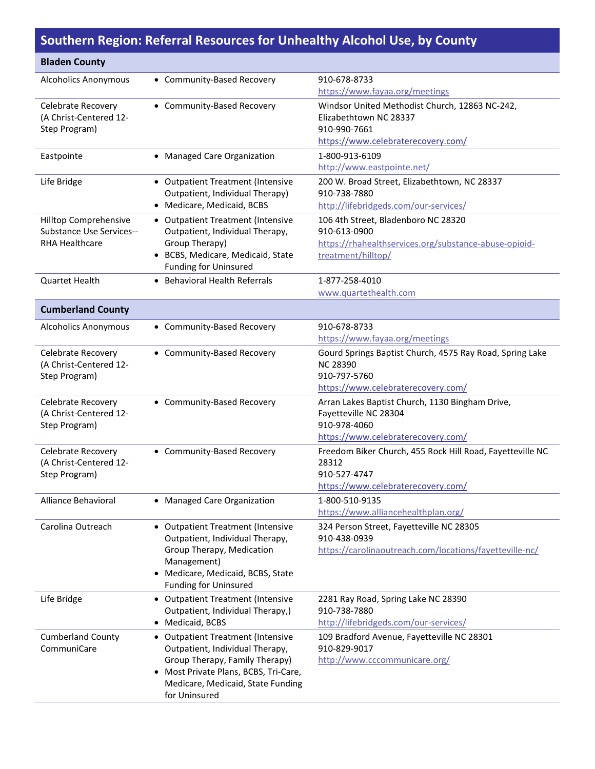## **Southern Region: Referral Resources for Unhealthy Alcohol Use, by County**

| <b>Bladen County</b>                                     |                                                                                       |                                                                       |
|----------------------------------------------------------|---------------------------------------------------------------------------------------|-----------------------------------------------------------------------|
| <b>Alcoholics Anonymous</b>                              | • Community-Based Recovery                                                            | 910-678-8733                                                          |
|                                                          |                                                                                       | https://www.fayaa.org/meetings                                        |
| Celebrate Recovery                                       | • Community-Based Recovery                                                            | Windsor United Methodist Church, 12863 NC-242,                        |
| (A Christ-Centered 12-                                   |                                                                                       | Elizabethtown NC 28337                                                |
| Step Program)                                            |                                                                                       | 910-990-7661                                                          |
|                                                          |                                                                                       | https://www.celebraterecovery.com/                                    |
| Eastpointe                                               | • Managed Care Organization                                                           | 1-800-913-6109                                                        |
|                                                          |                                                                                       | http://www.eastpointe.net/                                            |
| Life Bridge                                              | • Outpatient Treatment (Intensive                                                     | 200 W. Broad Street, Elizabethtown, NC 28337                          |
|                                                          | Outpatient, Individual Therapy)<br>• Medicare, Medicaid, BCBS                         | 910-738-7880                                                          |
|                                                          |                                                                                       | http://lifebridgeds.com/our-services/                                 |
| Hilltop Comprehensive                                    | • Outpatient Treatment (Intensive                                                     | 106 4th Street, Bladenboro NC 28320                                   |
| <b>Substance Use Services--</b><br><b>RHA Healthcare</b> | Outpatient, Individual Therapy,<br>Group Therapy)                                     | 910-613-0900<br>https://rhahealthservices.org/substance-abuse-opioid- |
|                                                          | • BCBS, Medicare, Medicaid, State                                                     | treatment/hilltop/                                                    |
|                                                          | <b>Funding for Uninsured</b>                                                          |                                                                       |
| Quartet Health                                           | • Behavioral Health Referrals                                                         | 1-877-258-4010                                                        |
|                                                          |                                                                                       | www.quartethealth.com                                                 |
| <b>Cumberland County</b>                                 |                                                                                       |                                                                       |
|                                                          | • Community-Based Recovery                                                            | 910-678-8733                                                          |
| <b>Alcoholics Anonymous</b>                              |                                                                                       | https://www.fayaa.org/meetings                                        |
| <b>Celebrate Recovery</b>                                | • Community-Based Recovery                                                            | Gourd Springs Baptist Church, 4575 Ray Road, Spring Lake              |
| (A Christ-Centered 12-                                   |                                                                                       | <b>NC 28390</b>                                                       |
| Step Program)                                            |                                                                                       | 910-797-5760                                                          |
|                                                          |                                                                                       | https://www.celebraterecovery.com/                                    |
| Celebrate Recovery                                       | • Community-Based Recovery                                                            | Arran Lakes Baptist Church, 1130 Bingham Drive,                       |
| (A Christ-Centered 12-                                   |                                                                                       | Fayetteville NC 28304                                                 |
| Step Program)                                            |                                                                                       | 910-978-4060                                                          |
|                                                          |                                                                                       | https://www.celebraterecovery.com/                                    |
| Celebrate Recovery                                       | • Community-Based Recovery                                                            | Freedom Biker Church, 455 Rock Hill Road, Fayetteville NC             |
| (A Christ-Centered 12-                                   |                                                                                       | 28312                                                                 |
| Step Program)                                            |                                                                                       | 910-527-4747<br>https://www.celebraterecovery.com/                    |
|                                                          |                                                                                       |                                                                       |
| Alliance Behavioral                                      | • Managed Care Organization                                                           | 1-800-510-9135<br>https://www.alliancehealthplan.org/                 |
| Carolina Outreach                                        | • Outpatient Treatment (Intensive                                                     | 324 Person Street, Fayetteville NC 28305                              |
|                                                          | Outpatient, Individual Therapy,                                                       | 910-438-0939                                                          |
|                                                          | Group Therapy, Medication                                                             | https://carolinaoutreach.com/locations/fayetteville-nc/               |
|                                                          | Management)                                                                           |                                                                       |
|                                                          | • Medicare, Medicaid, BCBS, State                                                     |                                                                       |
|                                                          | <b>Funding for Uninsured</b>                                                          |                                                                       |
| Life Bridge                                              | • Outpatient Treatment (Intensive                                                     | 2281 Ray Road, Spring Lake NC 28390                                   |
|                                                          | Outpatient, Individual Therapy,)                                                      | 910-738-7880                                                          |
|                                                          | • Medicaid, BCBS                                                                      | http://lifebridgeds.com/our-services/                                 |
| <b>Cumberland County</b>                                 | • Outpatient Treatment (Intensive                                                     | 109 Bradford Avenue, Fayetteville NC 28301                            |
| CommuniCare                                              | Outpatient, Individual Therapy,                                                       | 910-829-9017                                                          |
|                                                          | Group Therapy, Family Therapy)                                                        | http://www.cccommunicare.org/                                         |
|                                                          | Most Private Plans, BCBS, Tri-Care,<br>$\bullet$<br>Medicare, Medicaid, State Funding |                                                                       |
|                                                          | for Uninsured                                                                         |                                                                       |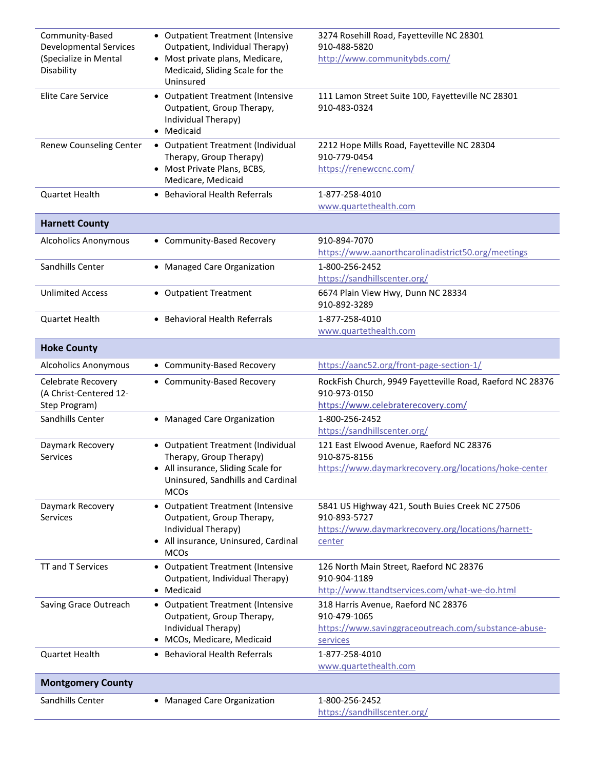| Community-Based<br><b>Developmental Services</b><br>(Specialize in Mental<br>Disability | • Outpatient Treatment (Intensive<br>Outpatient, Individual Therapy)<br>• Most private plans, Medicare,<br>Medicaid, Sliding Scale for the<br>Uninsured | 3274 Rosehill Road, Fayetteville NC 28301<br>910-488-5820<br>http://www.communitybds.com/                                       |
|-----------------------------------------------------------------------------------------|---------------------------------------------------------------------------------------------------------------------------------------------------------|---------------------------------------------------------------------------------------------------------------------------------|
| <b>Elite Care Service</b>                                                               | • Outpatient Treatment (Intensive<br>Outpatient, Group Therapy,<br>Individual Therapy)<br>• Medicaid                                                    | 111 Lamon Street Suite 100, Fayetteville NC 28301<br>910-483-0324                                                               |
| <b>Renew Counseling Center</b>                                                          | • Outpatient Treatment (Individual<br>Therapy, Group Therapy)<br>• Most Private Plans, BCBS,<br>Medicare, Medicaid                                      | 2212 Hope Mills Road, Fayetteville NC 28304<br>910-779-0454<br>https://renewccnc.com/                                           |
| Quartet Health                                                                          | • Behavioral Health Referrals                                                                                                                           | 1-877-258-4010<br>www.quartethealth.com                                                                                         |
| <b>Harnett County</b>                                                                   |                                                                                                                                                         |                                                                                                                                 |
| <b>Alcoholics Anonymous</b>                                                             | • Community-Based Recovery                                                                                                                              | 910-894-7070<br>https://www.aanorthcarolinadistrict50.org/meetings                                                              |
| Sandhills Center                                                                        | • Managed Care Organization                                                                                                                             | 1-800-256-2452<br>https://sandhillscenter.org/                                                                                  |
| <b>Unlimited Access</b>                                                                 | • Outpatient Treatment                                                                                                                                  | 6674 Plain View Hwy, Dunn NC 28334<br>910-892-3289                                                                              |
| Quartet Health                                                                          | • Behavioral Health Referrals                                                                                                                           | 1-877-258-4010<br>www.quartethealth.com                                                                                         |
| <b>Hoke County</b>                                                                      |                                                                                                                                                         |                                                                                                                                 |
| <b>Alcoholics Anonymous</b>                                                             | • Community-Based Recovery                                                                                                                              | https://aanc52.org/front-page-section-1/                                                                                        |
| <b>Celebrate Recovery</b><br>(A Christ-Centered 12-<br>Step Program)                    | • Community-Based Recovery                                                                                                                              | RockFish Church, 9949 Fayetteville Road, Raeford NC 28376<br>910-973-0150<br>https://www.celebraterecovery.com/                 |
| Sandhills Center                                                                        | • Managed Care Organization                                                                                                                             | 1-800-256-2452<br>https://sandhillscenter.org/                                                                                  |
| Daymark Recovery<br><b>Services</b>                                                     | • Outpatient Treatment (Individual<br>Therapy, Group Therapy)<br>• All insurance, Sliding Scale for<br>Uninsured, Sandhills and Cardinal<br><b>MCOs</b> | 121 East Elwood Avenue, Raeford NC 28376<br>910-875-8156<br>https://www.daymarkrecovery.org/locations/hoke-center               |
| Daymark Recovery<br><b>Services</b>                                                     | • Outpatient Treatment (Intensive<br>Outpatient, Group Therapy,<br>Individual Therapy)<br>• All insurance, Uninsured, Cardinal<br><b>MCOs</b>           | 5841 US Highway 421, South Buies Creek NC 27506<br>910-893-5727<br>https://www.daymarkrecovery.org/locations/harnett-<br>center |
| TT and T Services                                                                       | • Outpatient Treatment (Intensive<br>Outpatient, Individual Therapy)<br>• Medicaid                                                                      | 126 North Main Street, Raeford NC 28376<br>910-904-1189<br>http://www.ttandtservices.com/what-we-do.html                        |
| Saving Grace Outreach                                                                   | • Outpatient Treatment (Intensive<br>Outpatient, Group Therapy,<br>Individual Therapy)<br>· MCOs, Medicare, Medicaid                                    | 318 Harris Avenue, Raeford NC 28376<br>910-479-1065<br>https://www.savinggraceoutreach.com/substance-abuse-<br>services         |
| <b>Quartet Health</b>                                                                   | • Behavioral Health Referrals                                                                                                                           | 1-877-258-4010<br>www.quartethealth.com                                                                                         |
| <b>Montgomery County</b>                                                                |                                                                                                                                                         |                                                                                                                                 |
| Sandhills Center                                                                        | • Managed Care Organization                                                                                                                             | 1-800-256-2452<br>https://sandhillscenter.org/                                                                                  |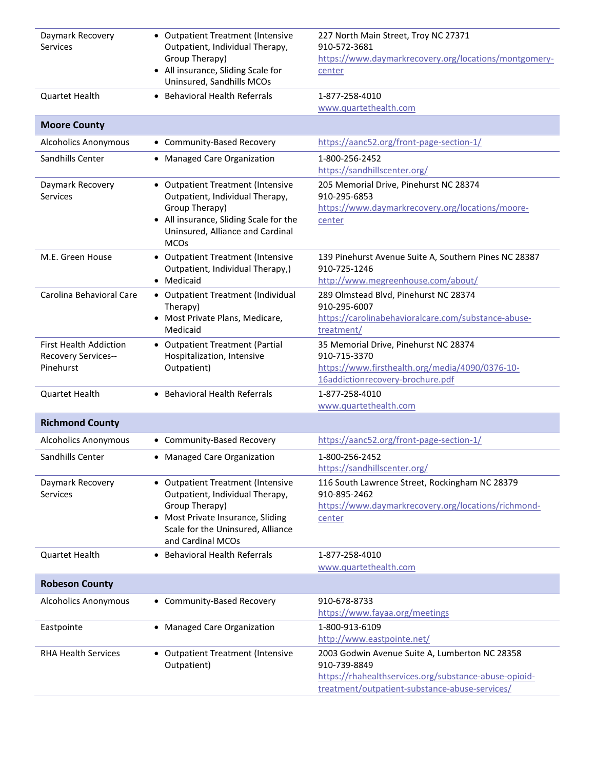| Daymark Recovery                 | • Outpatient Treatment (Intensive                                     | 227 North Main Street, Troy NC 27371                                  |
|----------------------------------|-----------------------------------------------------------------------|-----------------------------------------------------------------------|
| <b>Services</b>                  | Outpatient, Individual Therapy,<br>Group Therapy)                     | 910-572-3681                                                          |
|                                  | • All insurance, Sliding Scale for                                    | https://www.daymarkrecovery.org/locations/montgomery-<br>center       |
|                                  | Uninsured, Sandhills MCOs                                             |                                                                       |
| <b>Quartet Health</b>            | • Behavioral Health Referrals                                         | 1-877-258-4010                                                        |
|                                  |                                                                       | www.quartethealth.com                                                 |
| <b>Moore County</b>              |                                                                       |                                                                       |
| <b>Alcoholics Anonymous</b>      | • Community-Based Recovery                                            | https://aanc52.org/front-page-section-1/                              |
| Sandhills Center                 | • Managed Care Organization                                           | 1-800-256-2452                                                        |
|                                  |                                                                       | https://sandhillscenter.org/                                          |
| Daymark Recovery<br>Services     | • Outpatient Treatment (Intensive<br>Outpatient, Individual Therapy,  | 205 Memorial Drive, Pinehurst NC 28374<br>910-295-6853                |
|                                  | Group Therapy)                                                        | https://www.daymarkrecovery.org/locations/moore-                      |
|                                  | • All insurance, Sliding Scale for the                                | center                                                                |
|                                  | Uninsured, Alliance and Cardinal                                      |                                                                       |
|                                  | <b>MCOs</b>                                                           |                                                                       |
| M.E. Green House                 | • Outpatient Treatment (Intensive<br>Outpatient, Individual Therapy,) | 139 Pinehurst Avenue Suite A, Southern Pines NC 28387<br>910-725-1246 |
|                                  | • Medicaid                                                            | http://www.megreenhouse.com/about/                                    |
| Carolina Behavioral Care         | • Outpatient Treatment (Individual                                    | 289 Olmstead Blvd, Pinehurst NC 28374                                 |
|                                  | Therapy)                                                              | 910-295-6007                                                          |
|                                  | • Most Private Plans, Medicare,                                       | https://carolinabehavioralcare.com/substance-abuse-                   |
|                                  | Medicaid                                                              | treatment/                                                            |
| <b>First Health Addiction</b>    | • Outpatient Treatment (Partial                                       | 35 Memorial Drive, Pinehurst NC 28374<br>910-715-3370                 |
| Recovery Services--<br>Pinehurst | Hospitalization, Intensive<br>Outpatient)                             | https://www.firsthealth.org/media/4090/0376-10-                       |
|                                  |                                                                       | 16addictionrecovery-brochure.pdf                                      |
| <b>Quartet Health</b>            | • Behavioral Health Referrals                                         | 1-877-258-4010                                                        |
|                                  |                                                                       | www.quartethealth.com                                                 |
| <b>Richmond County</b>           |                                                                       |                                                                       |
| <b>Alcoholics Anonymous</b>      | • Community-Based Recovery                                            | https://aanc52.org/front-page-section-1/                              |
| Sandhills Center                 | • Managed Care Organization                                           | 1-800-256-2452                                                        |
|                                  |                                                                       | https://sandhillscenter.org/                                          |
| Daymark Recovery                 | • Outpatient Treatment (Intensive                                     | 116 South Lawrence Street, Rockingham NC 28379                        |
| Services                         | Outpatient, Individual Therapy,<br>Group Therapy)                     | 910-895-2462<br>https://www.daymarkrecovery.org/locations/richmond-   |
|                                  | • Most Private Insurance, Sliding                                     | center                                                                |
|                                  | Scale for the Uninsured, Alliance                                     |                                                                       |
|                                  | and Cardinal MCOs                                                     |                                                                       |
| <b>Quartet Health</b>            | • Behavioral Health Referrals                                         | 1-877-258-4010                                                        |
|                                  |                                                                       | www.quartethealth.com                                                 |
| <b>Robeson County</b>            |                                                                       |                                                                       |
| <b>Alcoholics Anonymous</b>      | • Community-Based Recovery                                            | 910-678-8733<br>https://www.fayaa.org/meetings                        |
|                                  |                                                                       | 1-800-913-6109                                                        |
| Eastpointe                       | • Managed Care Organization                                           | http://www.eastpointe.net/                                            |
| <b>RHA Health Services</b>       | • Outpatient Treatment (Intensive                                     | 2003 Godwin Avenue Suite A, Lumberton NC 28358                        |
|                                  | Outpatient)                                                           | 910-739-8849                                                          |
|                                  |                                                                       | https://rhahealthservices.org/substance-abuse-opioid-                 |
|                                  |                                                                       | treatment/outpatient-substance-abuse-services/                        |